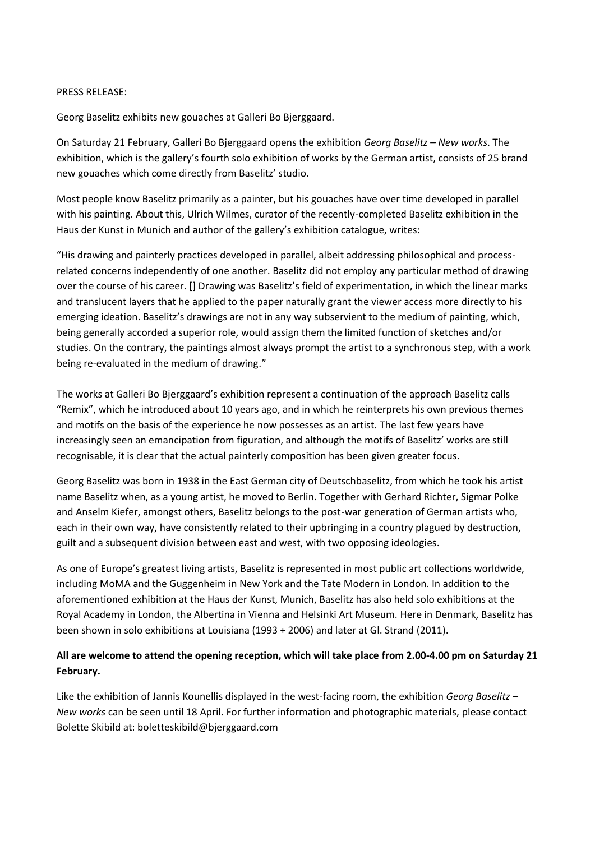## PRESS RELEASE:

Georg Baselitz exhibits new gouaches at Galleri Bo Bjerggaard.

On Saturday 21 February, Galleri Bo Bjerggaard opens the exhibition *Georg Baselitz – New works*. The exhibition, which is the gallery's fourth solo exhibition of works by the German artist, consists of 25 brand new gouaches which come directly from Baselitz' studio.

Most people know Baselitz primarily as a painter, but his gouaches have over time developed in parallel with his painting. About this, Ulrich Wilmes, curator of the recently-completed Baselitz exhibition in the Haus der Kunst in Munich and author of the gallery's exhibition catalogue, writes:

"His drawing and painterly practices developed in parallel, albeit addressing philosophical and processrelated concerns independently of one another. Baselitz did not employ any particular method of drawing over the course of his career. [] Drawing was Baselitz's field of experimentation, in which the linear marks and translucent layers that he applied to the paper naturally grant the viewer access more directly to his emerging ideation. Baselitz's drawings are not in any way subservient to the medium of painting, which, being generally accorded a superior role, would assign them the limited function of sketches and/or studies. On the contrary, the paintings almost always prompt the artist to a synchronous step, with a work being re-evaluated in the medium of drawing."

The works at Galleri Bo Bjerggaard's exhibition represent a continuation of the approach Baselitz calls "Remix", which he introduced about 10 years ago, and in which he reinterprets his own previous themes and motifs on the basis of the experience he now possesses as an artist. The last few years have increasingly seen an emancipation from figuration, and although the motifs of Baselitz' works are still recognisable, it is clear that the actual painterly composition has been given greater focus.

Georg Baselitz was born in 1938 in the East German city of Deutschbaselitz, from which he took his artist name Baselitz when, as a young artist, he moved to Berlin. Together with Gerhard Richter, Sigmar Polke and Anselm Kiefer, amongst others, Baselitz belongs to the post-war generation of German artists who, each in their own way, have consistently related to their upbringing in a country plagued by destruction, guilt and a subsequent division between east and west, with two opposing ideologies.

As one of Europe's greatest living artists, Baselitz is represented in most public art collections worldwide, including MoMA and the Guggenheim in New York and the Tate Modern in London. In addition to the aforementioned exhibition at the Haus der Kunst, Munich, Baselitz has also held solo exhibitions at the Royal Academy in London, the Albertina in Vienna and Helsinki Art Museum. Here in Denmark, Baselitz has been shown in solo exhibitions at Louisiana (1993 + 2006) and later at Gl. Strand (2011).

## **All are welcome to attend the opening reception, which will take place from 2.00-4.00 pm on Saturday 21 February.**

Like the exhibition of Jannis Kounellis displayed in the west-facing room, the exhibition *Georg Baselitz – New works* can be seen until 18 April. For further information and photographic materials, please contact Bolette Skibild at: boletteskibild@bjerggaard.com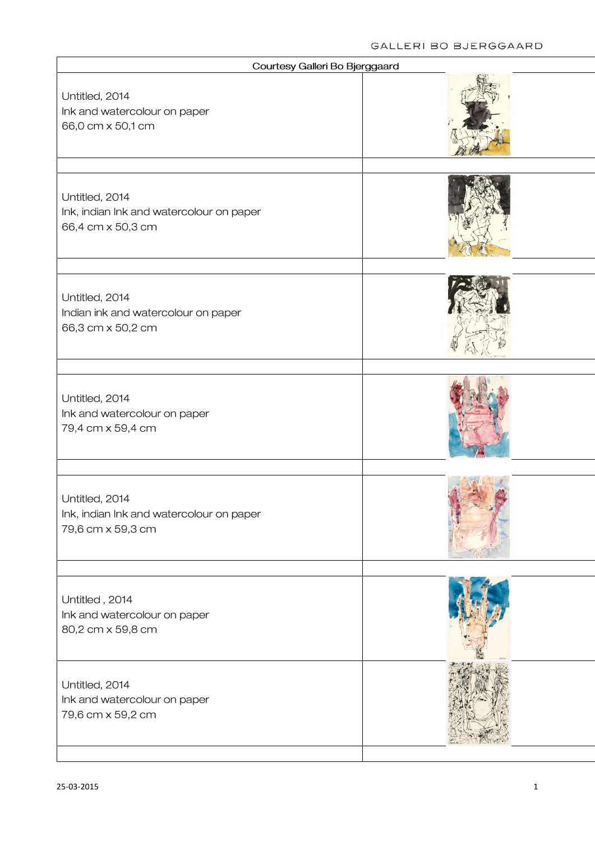| Courtesy Galleri Bo Bjerggaard                                                  |  |
|---------------------------------------------------------------------------------|--|
| Untitled, 2014<br>Ink and watercolour on paper<br>66,0 cm x 50,1 cm             |  |
| Untitled, 2014<br>Ink, indian Ink and watercolour on paper<br>66,4 cm x 50,3 cm |  |
| Untitled, 2014<br>Indian ink and watercolour on paper<br>66,3 cm x 50,2 cm      |  |
| Untitled, 2014<br>Ink and watercolour on paper<br>79,4 cm x 59,4 cm             |  |
| Untitled, 2014<br>Ink, indian Ink and watercolour on paper<br>79,6 cm x 59,3 cm |  |
| Untitled, 2014<br>Ink and watercolour on paper<br>80,2 cm x 59,8 cm             |  |
| Untitled, 2014<br>Ink and watercolour on paper<br>79,6 cm x 59,2 cm             |  |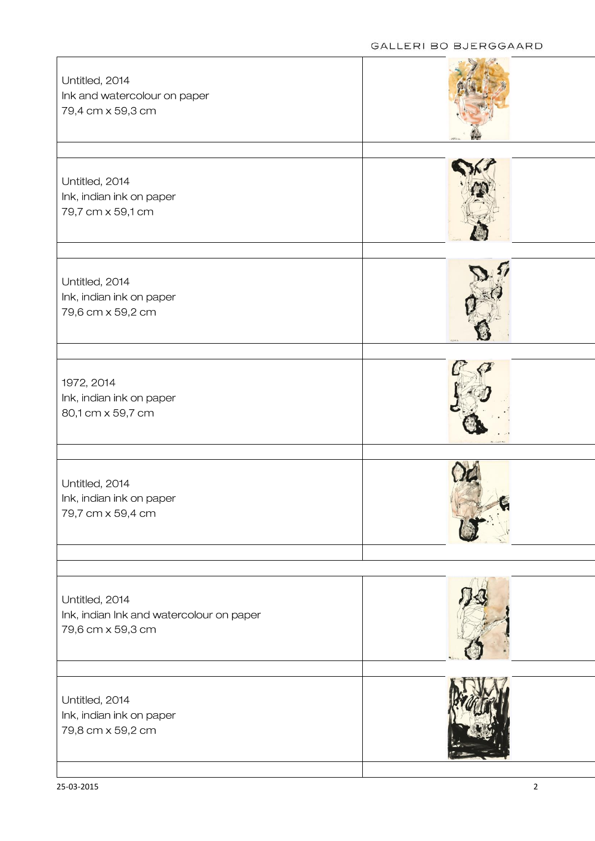| Untitled, 2014<br>Ink and watercolour on paper<br>79,4 cm x 59,3 cm             |  |
|---------------------------------------------------------------------------------|--|
| Untitled, 2014<br>Ink, indian ink on paper<br>79,7 cm x 59,1 cm                 |  |
| Untitled, 2014<br>Ink, indian ink on paper<br>79,6 cm x 59,2 cm                 |  |
| 1972, 2014<br>Ink, indian ink on paper<br>80,1 cm x 59,7 cm                     |  |
| Untitled, 2014<br>Ink, indian ink on paper<br>79,7 cm x 59,4 cm                 |  |
| Untitled, 2014<br>Ink, indian Ink and watercolour on paper<br>79,6 cm x 59,3 cm |  |
| Untitled, 2014<br>Ink, indian ink on paper<br>79,8 cm x 59,2 cm                 |  |